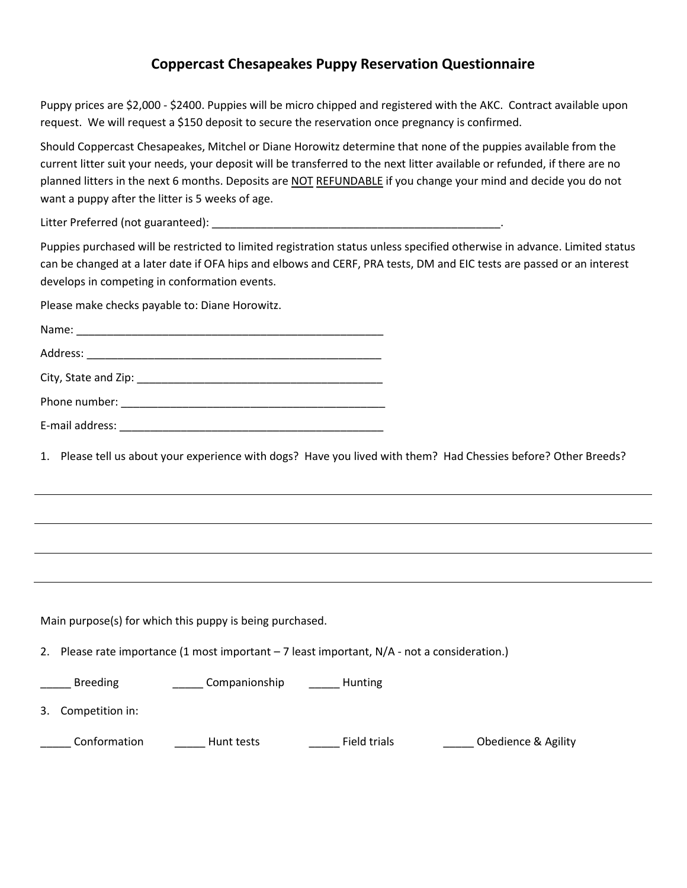## **Coppercast Chesapeakes Puppy Reservation Questionnaire**

Puppy prices are \$2,000 - \$2400. Puppies will be micro chipped and registered with the AKC. Contract available upon request. We will request a \$150 deposit to secure the reservation once pregnancy is confirmed.

Should Coppercast Chesapeakes, Mitchel or Diane Horowitz determine that none of the puppies available from the current litter suit your needs, your deposit will be transferred to the next litter available or refunded, if there are no planned litters in the next 6 months. Deposits are NOT REFUNDABLE if you change your mind and decide you do not want a puppy after the litter is 5 weeks of age.

Litter Preferred (not guaranteed): \_\_\_\_\_\_\_\_\_\_\_\_\_\_\_\_\_\_\_\_\_\_\_\_\_\_\_\_\_\_\_\_\_\_\_\_\_\_\_\_\_\_\_\_\_\_\_.

Puppies purchased will be restricted to limited registration status unless specified otherwise in advance. Limited status can be changed at a later date if OFA hips and elbows and CERF, PRA tests, DM and EIC tests are passed or an interest develops in competing in conformation events.

Please make checks payable to: Diane Horowitz.

| E-mail address: |  |  |
|-----------------|--|--|

1. Please tell us about your experience with dogs? Have you lived with them? Had Chessies before? Other Breeds?

Main purpose(s) for which this puppy is being purchased.

2. Please rate importance (1 most important – 7 least important, N/A - not a consideration.)

Land Breeding **Landsleife Leapenionship** Landsleife Breeding

3. Competition in:

\_\_\_\_\_ Conformation \_\_\_\_\_ Hunt tests \_\_\_\_\_ Field trials \_\_\_\_\_ Obedience & Agility